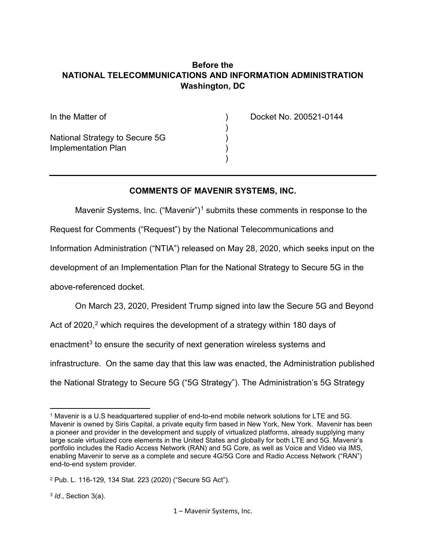### **Before the NATIONAL TELECOMMUNICATIONS AND INFORMATION ADMINISTRATION Washington, DC**

)

| In the Matter of               |  |
|--------------------------------|--|
| National Strategy to Secure 5G |  |
| Implementation Plan            |  |

Docket No. 200521-0144

#### **COMMENTS OF MAVENIR SYSTEMS, INC.**

Mavenir Systems, Inc. ("Mavenir")<sup>[1](#page-0-0)</sup> submits these comments in response to the Request for Comments ("Request") by the National Telecommunications and Information Administration ("NTIA") released on May 28, 2020, which seeks input on the development of an Implementation Plan for the National Strategy to Secure 5G in the above-referenced docket.

On March 23, 2020, President Trump signed into law the Secure 5G and Beyond Act of [2](#page-0-1)020,<sup>2</sup> which requires the development of a strategy within 180 days of enactment<sup>[3](#page-0-2)</sup> to ensure the security of next generation wireless systems and infrastructure. On the same day that this law was enacted, the Administration published the National Strategy to Secure 5G ("5G Strategy"). The Administration's 5G Strategy

 $\overline{\phantom{a}}$ 

<span id="page-0-0"></span><sup>1</sup> Mavenir is a U.S headquartered supplier of end-to-end mobile network solutions for LTE and 5G. Mavenir is owned by Siris Capital, a private equity firm based in New York, New York. Mavenir has been a pioneer and provider in the development and supply of virtualized platforms, already supplying many large scale virtualized core elements in the United States and globally for both LTE and 5G. Mavenir's portfolio includes the Radio Access Network (RAN) and 5G Core, as well as Voice and Video via IMS, enabling Mavenir to serve as a complete and secure 4G/5G Core and Radio Access Network ("RAN") end-to-end system provider.

<span id="page-0-2"></span><span id="page-0-1"></span><sup>2</sup> Pub. L. 116-129, 134 Stat. 223 (2020) ("Secure 5G Act").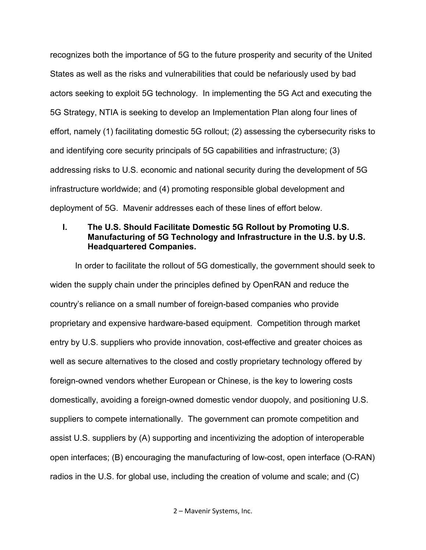recognizes both the importance of 5G to the future prosperity and security of the United States as well as the risks and vulnerabilities that could be nefariously used by bad actors seeking to exploit 5G technology. In implementing the 5G Act and executing the 5G Strategy, NTIA is seeking to develop an Implementation Plan along four lines of effort, namely (1) facilitating domestic 5G rollout; (2) assessing the cybersecurity risks to and identifying core security principals of 5G capabilities and infrastructure; (3) addressing risks to U.S. economic and national security during the development of 5G infrastructure worldwide; and (4) promoting responsible global development and deployment of 5G. Mavenir addresses each of these lines of effort below.

### **I. The U.S. Should Facilitate Domestic 5G Rollout by Promoting U.S. Manufacturing of 5G Technology and Infrastructure in the U.S. by U.S. Headquartered Companies.**

In order to facilitate the rollout of 5G domestically, the government should seek to widen the supply chain under the principles defined by OpenRAN and reduce the country's reliance on a small number of foreign-based companies who provide proprietary and expensive hardware-based equipment. Competition through market entry by U.S. suppliers who provide innovation, cost-effective and greater choices as well as secure alternatives to the closed and costly proprietary technology offered by foreign-owned vendors whether European or Chinese, is the key to lowering costs domestically, avoiding a foreign-owned domestic vendor duopoly, and positioning U.S. suppliers to compete internationally. The government can promote competition and assist U.S. suppliers by (A) supporting and incentivizing the adoption of interoperable open interfaces; (B) encouraging the manufacturing of low-cost, open interface (O-RAN) radios in the U.S. for global use, including the creation of volume and scale; and (C)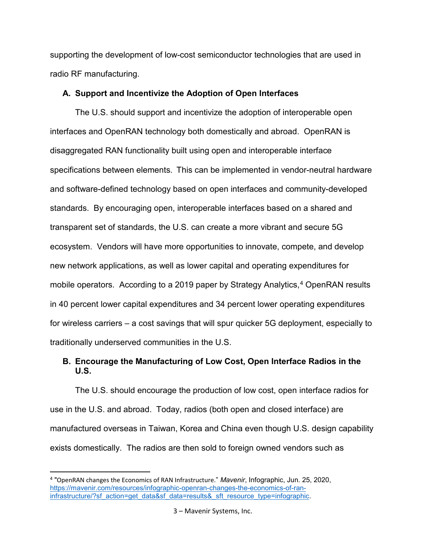supporting the development of low-cost semiconductor technologies that are used in radio RF manufacturing.

#### **A. Support and Incentivize the Adoption of Open Interfaces**

The U.S. should support and incentivize the adoption of interoperable open interfaces and OpenRAN technology both domestically and abroad. OpenRAN is disaggregated RAN functionality built using open and interoperable interface specifications between elements.  This can be implemented in vendor-neutral hardware and software-defined technology based on open interfaces and community-developed standards. By encouraging open, interoperable interfaces based on a shared and transparent set of standards, the U.S. can create a more vibrant and secure 5G ecosystem. Vendors will have more opportunities to innovate, compete, and develop new network applications, as well as lower capital and operating expenditures for mobile operators. According to a 2019 paper by Strategy Analytics,<sup>[4](#page-2-0)</sup> OpenRAN results in 40 percent lower capital expenditures and 34 percent lower operating expenditures for wireless carriers – a cost savings that will spur quicker 5G deployment, especially to traditionally underserved communities in the U.S.

# **B. Encourage the Manufacturing of Low Cost, Open Interface Radios in the U.S.**

The U.S. should encourage the production of low cost, open interface radios for use in the U.S. and abroad. Today, radios (both open and closed interface) are manufactured overseas in Taiwan, Korea and China even though U.S. design capability exists domestically. The radios are then sold to foreign owned vendors such as

l

<span id="page-2-0"></span><sup>4</sup> "OpenRAN changes the Economics of RAN Infrastructure." *Mavenir*, Infographic, Jun. 25, 2020, [https://mavenir.com/resources/infographic-openran-changes-the-economics-of-ran](https://mavenir.com/resources/infographic-openran-changes-the-economics-of-ran-infrastructure/?sf_action=get_data&sf_data=results&_sft_resource_type=infographic)[infrastructure/?sf\\_action=get\\_data&sf\\_data=results&\\_sft\\_resource\\_type=infographic.](https://mavenir.com/resources/infographic-openran-changes-the-economics-of-ran-infrastructure/?sf_action=get_data&sf_data=results&_sft_resource_type=infographic)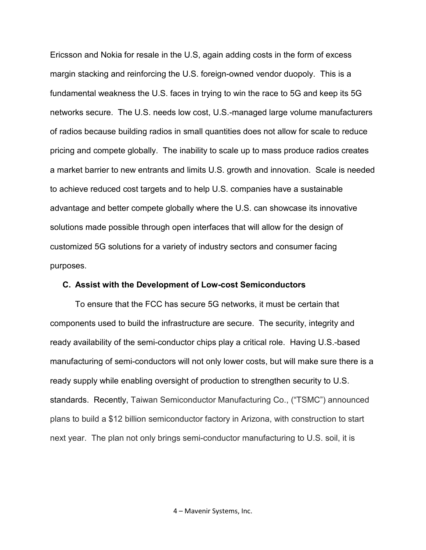Ericsson and Nokia for resale in the U.S, again adding costs in the form of excess margin stacking and reinforcing the U.S. foreign-owned vendor duopoly. This is a fundamental weakness the U.S. faces in trying to win the race to 5G and keep its 5G networks secure. The U.S. needs low cost, U.S.-managed large volume manufacturers of radios because building radios in small quantities does not allow for scale to reduce pricing and compete globally. The inability to scale up to mass produce radios creates a market barrier to new entrants and limits U.S. growth and innovation. Scale is needed to achieve reduced cost targets and to help U.S. companies have a sustainable advantage and better compete globally where the U.S. can showcase its innovative solutions made possible through open interfaces that will allow for the design of customized 5G solutions for a variety of industry sectors and consumer facing purposes.

#### **C. Assist with the Development of Low-cost Semiconductors**

To ensure that the FCC has secure 5G networks, it must be certain that components used to build the infrastructure are secure. The security, integrity and ready availability of the semi-conductor chips play a critical role. Having U.S.-based manufacturing of semi-conductors will not only lower costs, but will make sure there is a ready supply while enabling oversight of production to strengthen security to U.S. standards. Recently, Taiwan Semiconductor Manufacturing Co., ("TSMC") announced plans to build a \$12 billion semiconductor factory in Arizona, with construction to start next year. The plan not only brings semi-conductor manufacturing to U.S. soil, it is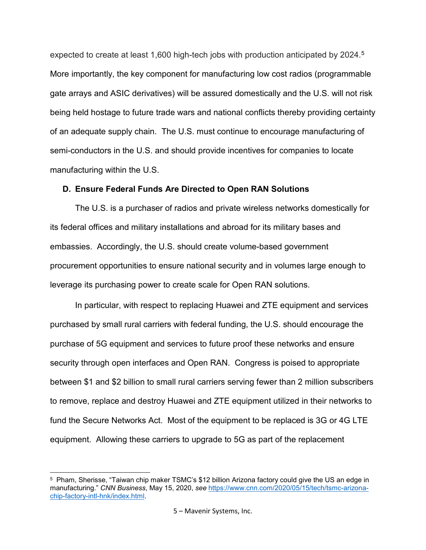expected to create at least 1,600 high-tech jobs with production anticipated by 2024.<sup>5</sup> More importantly, the key component for manufacturing low cost radios (programmable gate arrays and ASIC derivatives) will be assured domestically and the U.S. will not risk being held hostage to future trade wars and national conflicts thereby providing certainty of an adequate supply chain. The U.S. must continue to encourage manufacturing of semi-conductors in the U.S. and should provide incentives for companies to locate manufacturing within the U.S.

#### **D. Ensure Federal Funds Are Directed to Open RAN Solutions**

The U.S. is a purchaser of radios and private wireless networks domestically for its federal offices and military installations and abroad for its military bases and embassies. Accordingly, the U.S. should create volume-based government procurement opportunities to ensure national security and in volumes large enough to leverage its purchasing power to create scale for Open RAN solutions.

In particular, with respect to replacing Huawei and ZTE equipment and services purchased by small rural carriers with federal funding, the U.S. should encourage the purchase of 5G equipment and services to future proof these networks and ensure security through open interfaces and Open RAN. Congress is poised to appropriate between \$1 and \$2 billion to small rural carriers serving fewer than 2 million subscribers to remove, replace and destroy Huawei and ZTE equipment utilized in their networks to fund the Secure Networks Act. Most of the equipment to be replaced is 3G or 4G LTE equipment. Allowing these carriers to upgrade to 5G as part of the replacement

<span id="page-4-0"></span>l 5 Pham, Sherisse, "Taiwan chip maker TSMC's \$12 billion Arizona factory could give the US an edge in manufacturing." *CNN Business*, May 15, 2020, *see* [https://www.cnn.com/2020/05/15/tech/tsmc-arizona](https://www.cnn.com/2020/05/15/tech/tsmc-arizona-chip-factory-intl-hnk/index.html)[chip-factory-intl-hnk/index.html.](https://www.cnn.com/2020/05/15/tech/tsmc-arizona-chip-factory-intl-hnk/index.html)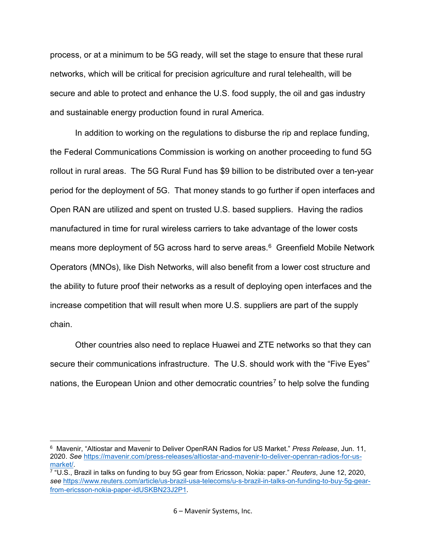process, or at a minimum to be 5G ready, will set the stage to ensure that these rural networks, which will be critical for precision agriculture and rural telehealth, will be secure and able to protect and enhance the U.S. food supply, the oil and gas industry and sustainable energy production found in rural America.

In addition to working on the regulations to disburse the rip and replace funding, the Federal Communications Commission is working on another proceeding to fund 5G rollout in rural areas. The 5G Rural Fund has \$9 billion to be distributed over a ten-year period for the deployment of 5G. That money stands to go further if open interfaces and Open RAN are utilized and spent on trusted U.S. based suppliers. Having the radios manufactured in time for rural wireless carriers to take advantage of the lower costs means more deployment of 5G across hard to serve areas. [6](#page-5-0) Greenfield Mobile Network Operators (MNOs), like Dish Networks, will also benefit from a lower cost structure and the ability to future proof their networks as a result of deploying open interfaces and the increase competition that will result when more U.S. suppliers are part of the supply chain.

Other countries also need to replace Huawei and ZTE networks so that they can secure their communications infrastructure. The U.S. should work with the "Five Eyes" nations, the European Union and other democratic countries<sup>[7](#page-5-1)</sup> to help solve the funding

l

<span id="page-5-0"></span><sup>6</sup> Mavenir, "Altiostar and Mavenir to Deliver OpenRAN Radios for US Market." *Press Release*, Jun. 11, 2020. *See* [https://mavenir.com/press-releases/altiostar-and-mavenir-to-deliver-openran-radios-for-us](https://mavenir.com/press-releases/altiostar-and-mavenir-to-deliver-openran-radios-for-us-market/)[market/.](https://mavenir.com/press-releases/altiostar-and-mavenir-to-deliver-openran-radios-for-us-market/)

<span id="page-5-1"></span><sup>7</sup> "U.S., Brazil in talks on funding to buy 5G gear from Ericsson, Nokia: paper." *Reuters*, June 12, 2020, *see* [https://www.reuters.com/article/us-brazil-usa-telecoms/u-s-brazil-in-talks-on-funding-to-buy-5g-gear](https://urldefense.proofpoint.com/v2/url?u=https-3A__www.reuters.com_article_us-2Dbrazil-2Dusa-2Dtelecoms_u-2Ds-2Dbrazil-2Din-2Dtalks-2Don-2Dfunding-2Dto-2Dbuy-2D5g-2Dgear-2Dfrom-2Dericsson-2Dnokia-2Dpaper-2DidUSKBN23J2P1&d=DwMGaQ&c=L5E2d05je37i-dadkViuXA&r=LsW8eT6lD6NYMlWMenyGAXVNIeQDiYRxiMIe449f4dY&m=mqNMzRypGde_JYNRaYEqyPafOqU4XAT0hZC2hgvipnk&s=U-s1iFBwiO0KafDX_1F8U2YrLuVMBF-MAz_eTDFMcQg&e=)[from-ericsson-nokia-paper-idUSKBN23J2P1.](https://urldefense.proofpoint.com/v2/url?u=https-3A__www.reuters.com_article_us-2Dbrazil-2Dusa-2Dtelecoms_u-2Ds-2Dbrazil-2Din-2Dtalks-2Don-2Dfunding-2Dto-2Dbuy-2D5g-2Dgear-2Dfrom-2Dericsson-2Dnokia-2Dpaper-2DidUSKBN23J2P1&d=DwMGaQ&c=L5E2d05je37i-dadkViuXA&r=LsW8eT6lD6NYMlWMenyGAXVNIeQDiYRxiMIe449f4dY&m=mqNMzRypGde_JYNRaYEqyPafOqU4XAT0hZC2hgvipnk&s=U-s1iFBwiO0KafDX_1F8U2YrLuVMBF-MAz_eTDFMcQg&e=)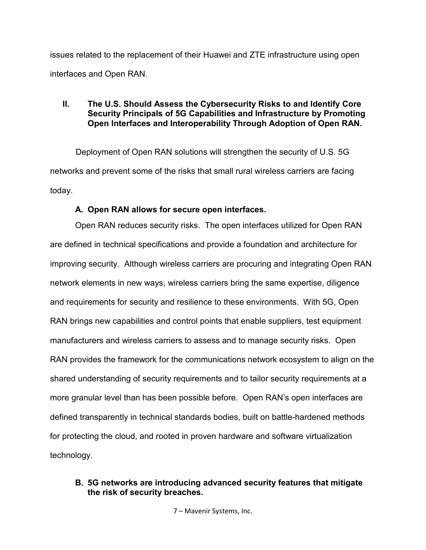issues related to the replacement of their Huawei and ZTE infrastructure using open interfaces and Open RAN.

### **II. The U.S. Should Assess the Cybersecurity Risks to and Identify Core Security Principals of 5G Capabilities and Infrastructure by Promoting Open Interfaces and Interoperability Through Adoption of Open RAN.**

 Deployment of Open RAN solutions will strengthen the security of U.S. 5G networks and prevent some of the risks that small rural wireless carriers are facing today.

# **A. Open RAN allows for secure open interfaces.**

Open RAN reduces security risks. The open interfaces utilized for Open RAN are defined in technical specifications and provide a foundation and architecture for improving security. Although wireless carriers are procuring and integrating Open RAN network elements in new ways, wireless carriers bring the same expertise, diligence and requirements for security and resilience to these environments. With 5G, Open RAN brings new capabilities and control points that enable suppliers, test equipment manufacturers and wireless carriers to assess and to manage security risks. Open RAN provides the framework for the communications network ecosystem to align on the shared understanding of security requirements and to tailor security requirements at a more granular level than has been possible before. Open RAN's open interfaces are defined transparently in technical standards bodies, built on battle-hardened methods for protecting the cloud, and rooted in proven hardware and software virtualization technology.

# **B. 5G networks are introducing advanced security features that mitigate the risk of security breaches.**

7 – Mavenir Systems, Inc.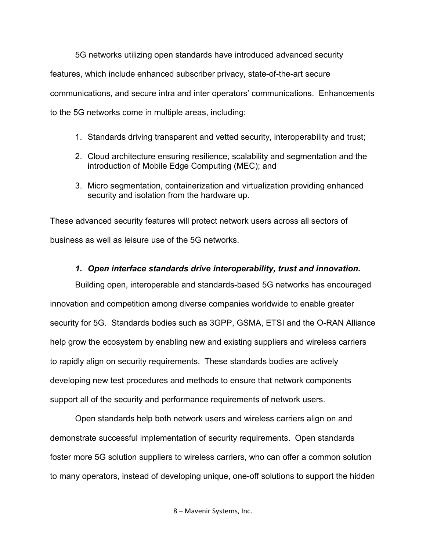5G networks utilizing open standards have introduced advanced security features, which include enhanced subscriber privacy, state-of-the-art secure communications, and secure intra and inter operators' communications. Enhancements to the 5G networks come in multiple areas, including:

- 1. Standards driving transparent and vetted security, interoperability and trust;
- 2. Cloud architecture ensuring resilience, scalability and segmentation and the introduction of Mobile Edge Computing (MEC); and
- 3. Micro segmentation, containerization and virtualization providing enhanced security and isolation from the hardware up.

These advanced security features will protect network users across all sectors of business as well as leisure use of the 5G networks.

# *1. Open interface standards drive interoperability, trust and innovation.*

Building open, interoperable and standards-based 5G networks has encouraged innovation and competition among diverse companies worldwide to enable greater security for 5G. Standards bodies such as 3GPP, GSMA, ETSI and the O-RAN Alliance help grow the ecosystem by enabling new and existing suppliers and wireless carriers to rapidly align on security requirements. These standards bodies are actively developing new test procedures and methods to ensure that network components support all of the security and performance requirements of network users.

Open standards help both network users and wireless carriers align on and demonstrate successful implementation of security requirements. Open standards foster more 5G solution suppliers to wireless carriers, who can offer a common solution to many operators, instead of developing unique, one-off solutions to support the hidden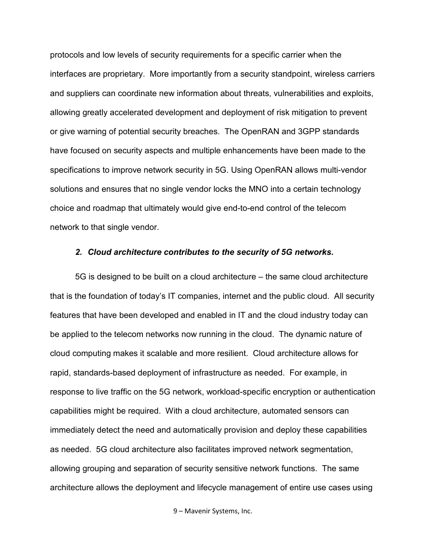protocols and low levels of security requirements for a specific carrier when the interfaces are proprietary. More importantly from a security standpoint, wireless carriers and suppliers can coordinate new information about threats, vulnerabilities and exploits, allowing greatly accelerated development and deployment of risk mitigation to prevent or give warning of potential security breaches. The OpenRAN and 3GPP standards have focused on security aspects and multiple enhancements have been made to the specifications to improve network security in 5G. Using OpenRAN allows multi-vendor solutions and ensures that no single vendor locks the MNO into a certain technology choice and roadmap that ultimately would give end-to-end control of the telecom network to that single vendor.

#### *2. Cloud architecture contributes to the security of 5G networks.*

5G is designed to be built on a cloud architecture – the same cloud architecture that is the foundation of today's IT companies, internet and the public cloud. All security features that have been developed and enabled in IT and the cloud industry today can be applied to the telecom networks now running in the cloud. The dynamic nature of cloud computing makes it scalable and more resilient. Cloud architecture allows for rapid, standards-based deployment of infrastructure as needed. For example, in response to live traffic on the 5G network, workload-specific encryption or authentication capabilities might be required. With a cloud architecture, automated sensors can immediately detect the need and automatically provision and deploy these capabilities as needed. 5G cloud architecture also facilitates improved network segmentation, allowing grouping and separation of security sensitive network functions. The same architecture allows the deployment and lifecycle management of entire use cases using

9 – Mavenir Systems, Inc.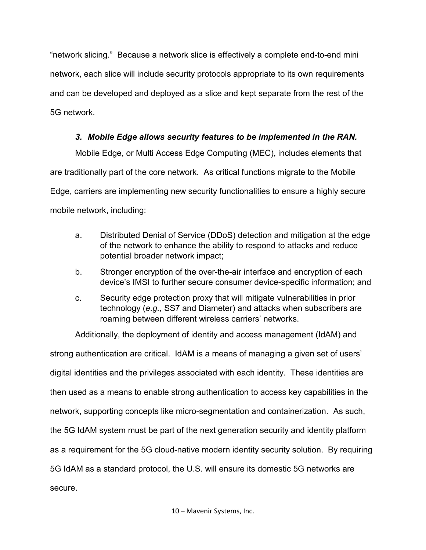"network slicing." Because a network slice is effectively a complete end-to-end mini network, each slice will include security protocols appropriate to its own requirements and can be developed and deployed as a slice and kept separate from the rest of the 5G network.

# *3. Mobile Edge allows security features to be implemented in the RAN.*

Mobile Edge, or Multi Access Edge Computing (MEC), includes elements that are traditionally part of the core network. As critical functions migrate to the Mobile Edge, carriers are implementing new security functionalities to ensure a highly secure mobile network, including:

- a. Distributed Denial of Service (DDoS) detection and mitigation at the edge of the network to enhance the ability to respond to attacks and reduce potential broader network impact;
- b. Stronger encryption of the over-the-air interface and encryption of each device's IMSI to further secure consumer device-specific information; and
- c. Security edge protection proxy that will mitigate vulnerabilities in prior technology (*e.g.,* SS7 and Diameter) and attacks when subscribers are roaming between different wireless carriers' networks.

Additionally, the deployment of identity and access management (IdAM) and strong authentication are critical. IdAM is a means of managing a given set of users' digital identities and the privileges associated with each identity. These identities are then used as a means to enable strong authentication to access key capabilities in the network, supporting concepts like micro-segmentation and containerization. As such, the 5G IdAM system must be part of the next generation security and identity platform as a requirement for the 5G cloud-native modern identity security solution. By requiring 5G IdAM as a standard protocol, the U.S. will ensure its domestic 5G networks are secure.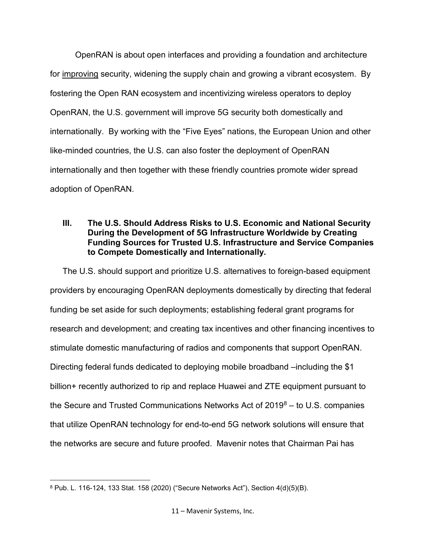OpenRAN is about open interfaces and providing a foundation and architecture for improving security, widening the supply chain and growing a vibrant ecosystem. By fostering the Open RAN ecosystem and incentivizing wireless operators to deploy OpenRAN, the U.S. government will improve 5G security both domestically and internationally. By working with the "Five Eyes" nations, the European Union and other like-minded countries, the U.S. can also foster the deployment of OpenRAN internationally and then together with these friendly countries promote wider spread adoption of OpenRAN.

### **III. The U.S. Should Address Risks to U.S. Economic and National Security During the Development of 5G Infrastructure Worldwide by Creating Funding Sources for Trusted U.S. Infrastructure and Service Companies to Compete Domestically and Internationally.**

The U.S. should support and prioritize U.S. alternatives to foreign-based equipment providers by encouraging OpenRAN deployments domestically by directing that federal funding be set aside for such deployments; establishing federal grant programs for research and development; and creating tax incentives and other financing incentives to stimulate domestic manufacturing of radios and components that support OpenRAN. Directing federal funds dedicated to deploying mobile broadband –including the \$1 billion+ recently authorized to rip and replace Huawei and ZTE equipment pursuant to the Secure and Trusted Communications Networks Act of  $2019<sup>8</sup> 2019<sup>8</sup> 2019<sup>8</sup> -$  to U.S. companies that utilize OpenRAN technology for end-to-end 5G network solutions will ensure that the networks are secure and future proofed. Mavenir notes that Chairman Pai has

l

<span id="page-10-0"></span><sup>8</sup> Pub. L. 116-124, 133 Stat. 158 (2020) ("Secure Networks Act"), Section 4(d)(5)(B).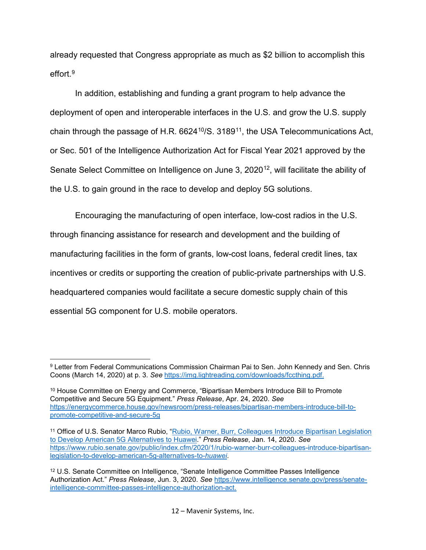already requested that Congress appropriate as much as \$2 billion to accomplish this effort $9$ 

In addition, establishing and funding a grant program to help advance the deployment of open and interoperable interfaces in the U.S. and grow the U.S. supply chain through the passage of H.R.  $6624^{10}/S$ . 3189<sup>11</sup>, the USA Telecommunications Act, or Sec. 501 of the Intelligence Authorization Act for Fiscal Year 2021 approved by the Senate Select Committee on Intelligence on June 3, 2020<sup>12</sup>, will facilitate the ability of the U.S. to gain ground in the race to develop and deploy 5G solutions.

Encouraging the manufacturing of open interface, low-cost radios in the U.S. through financing assistance for research and development and the building of manufacturing facilities in the form of grants, low-cost loans, federal credit lines, tax incentives or credits or supporting the creation of public-private partnerships with U.S. headquartered companies would facilitate a secure domestic supply chain of this essential 5G component for U.S. mobile operators.

<span id="page-11-1"></span><sup>10</sup> House Committee on Energy and Commerce, "Bipartisan Members Introduce Bill to Promote Competitive and Secure 5G Equipment." *Press Release*, Apr. 24, 2020. *See* [https://energycommerce.house.gov/newsroom/press-releases/bipartisan-members-introduce-bill-to](https://energycommerce.house.gov/newsroom/press-releases/bipartisan-members-introduce-bill-to-promote-competitive-and-secure-5g)[promote-competitive-and-secure-5g](https://energycommerce.house.gov/newsroom/press-releases/bipartisan-members-introduce-bill-to-promote-competitive-and-secure-5g)

<span id="page-11-0"></span> $\overline{\phantom{a}}$ 9 Letter from Federal Communications Commission Chairman Pai to Sen. John Kennedy and Sen. Chris Coons (March 14, 2020) at p. 3. *See* [https://img.lightreading.com/downloads/fccthing.pdf.](https://img.lightreading.com/downloads/fccthing.pdf)

<span id="page-11-2"></span><sup>&</sup>lt;sup>11</sup> Office of U.S. Senator Marco Rubio, "Rubio, Warner, Burr, Colleagues Introduce Bipartisan Legislation [to Develop American 5G Alternatives to Huawei.](https://www.rubio.senate.gov/public/index.cfm/press-releases?ID=80D299D0-F416-484F-B685-82FE1BAF3A89)" *Press Release*, Jan. 14, 2020. *See*  [https://www.rubio.senate.gov/public/index.cfm/2020/1/rubio-warner-burr-colleagues-introduce-bipartisan](https://www.rubio.senate.gov/public/index.cfm/2020/1/rubio-warner-burr-colleagues-introduce-bipartisan-legislation-to-develop-american-5g-alternatives-to-huawei)[legislation-to-develop-american-5g-alternatives-to-](https://www.rubio.senate.gov/public/index.cfm/2020/1/rubio-warner-burr-colleagues-introduce-bipartisan-legislation-to-develop-american-5g-alternatives-to-huawei)*huawei*.

<span id="page-11-3"></span><sup>12</sup> U.S. Senate Committee on Intelligence, "Senate Intelligence Committee Passes Intelligence Authorization Act." *Press Release*, Jun. 3, 2020. *See* [https://www.intelligence.senate.gov/press/senate](https://www.intelligence.senate.gov/press/senate-intelligence-committee-passes-intelligence-authorization-act)[intelligence-committee-passes-intelligence-authorization-act.](https://www.intelligence.senate.gov/press/senate-intelligence-committee-passes-intelligence-authorization-act)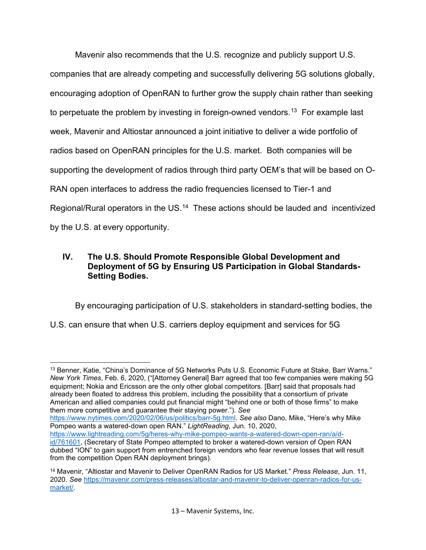Mavenir also recommends that the U.S. recognize and publicly support U.S. companies that are already competing and successfully delivering 5G solutions globally, encouraging adoption of OpenRAN to further grow the supply chain rather than seeking to perpetuate the problem by investing in foreign-owned vendors. $^{13}$  $^{13}$  $^{13}$  For example last week, Mavenir and Altiostar announced a joint initiative to deliver a wide portfolio of radios based on OpenRAN principles for the U.S. market. Both companies will be supporting the development of radios through third party OEM's that will be based on O-RAN open interfaces to address the radio frequencies licensed to Tier-1 and Regional/Rural operators in the US.<sup>14</sup> These actions should be lauded and incentivized by the U.S. at every opportunity.

# **IV. The U.S. Should Promote Responsible Global Development and Deployment of 5G by Ensuring US Participation in Global Standards-Setting Bodies.**

By encouraging participation of U.S. stakeholders in standard-setting bodies, the

U.S. can ensure that when U.S. carriers deploy equipment and services for 5G

 $\overline{a}$ 

[https://www.nytimes.com/2020/02/06/us/politics/barr-5g.html.](https://www.nytimes.com/2020/02/06/us/politics/barr-5g.html) *See also* Dano, Mike, "Here's why Mike Pompeo wants a watered-down open RAN." *LightReading*, Jun. 10, 2020,

<span id="page-12-0"></span><sup>13</sup> Benner, Katie, "China's Dominance of 5G Networks Puts U.S. Economic Future at Stake, Barr Warns." *New York Times*, Feb. 6, 2020, ("[Attorney General] Barr agreed that too few companies were making 5G equipment; Nokia and Ericsson are the only other global competitors. [Barr] said that proposals had already been floated to address this problem, including the possibility that a consortium of private American and allied companies could put financial might "behind one or both of those firms" to make them more competitive and guarantee their staying power."). *See* 

[https://www.lightreading.com/5g/heres-why-mike-pompeo-wants-a-watered-down-open-ran/a/d](https://www.lightreading.com/5g/heres-why-mike-pompeo-wants-a-watered-down-open-ran/a/d-id/761601)[id/761601,](https://www.lightreading.com/5g/heres-why-mike-pompeo-wants-a-watered-down-open-ran/a/d-id/761601) (Secretary of State Pompeo attempted to broker a watered-down version of Open RAN dubbed "ION" to gain support from entrenched foreign vendors who fear revenue losses that will result from the competition Open RAN deployment brings).

<span id="page-12-1"></span><sup>14</sup> Mavenir, "Altiostar and Mavenir to Deliver OpenRAN Radios for US Market." *Press Release*, Jun. 11, 2020. *See* [https://mavenir.com/press-releases/altiostar-and-mavenir-to-deliver-openran-radios-for-us](https://mavenir.com/press-releases/altiostar-and-mavenir-to-deliver-openran-radios-for-us-market/)[market/.](https://mavenir.com/press-releases/altiostar-and-mavenir-to-deliver-openran-radios-for-us-market/)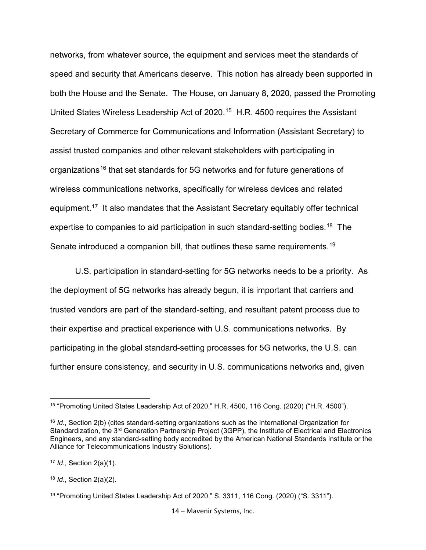networks, from whatever source, the equipment and services meet the standards of speed and security that Americans deserve. This notion has already been supported in both the House and the Senate. The House, on January 8, 2020, passed the Promoting United States Wireless Leadership Act of 2020.<sup>[15](#page-13-0)</sup> H.R. 4500 requires the Assistant Secretary of Commerce for Communications and Information (Assistant Secretary) to assist trusted companies and other relevant stakeholders with participating in organizations<sup>[16](#page-13-1)</sup> that set standards for 5G networks and for future generations of wireless communications networks, specifically for wireless devices and related equipment.[17](#page-13-2) It also mandates that the Assistant Secretary equitably offer technical expertise to companies to aid participation in such standard-setting bodies.<sup>[18](#page-13-3)</sup> The Senate introduced a companion bill, that outlines these same requirements.<sup>19</sup>

U.S. participation in standard-setting for 5G networks needs to be a priority. As the deployment of 5G networks has already begun, it is important that carriers and trusted vendors are part of the standard-setting, and resultant patent process due to their expertise and practical experience with U.S. communications networks. By participating in the global standard-setting processes for 5G networks, the U.S. can further ensure consistency, and security in U.S. communications networks and, given

l

14 – Mavenir Systems, Inc.

<span id="page-13-0"></span><sup>15</sup> "Promoting United States Leadership Act of 2020," H.R. 4500, 116 Cong. (2020) ("H.R. 4500").

<span id="page-13-1"></span><sup>16</sup> *Id*., Section 2(b) (cites standard-setting organizations such as the International Organization for Standardization, the 3<sup>rd</sup> Generation Partnership Project (3GPP), the Institute of Electrical and Electronics Engineers, and any standard-setting body accredited by the American National Standards Institute or the Alliance for Telecommunications Industry Solutions).

<span id="page-13-2"></span><sup>17</sup> *Id*., Section 2(a)(1).

<span id="page-13-3"></span><sup>18</sup> *Id*., Section 2(a)(2).

<span id="page-13-4"></span><sup>19</sup> "Promoting United States Leadership Act of 2020," S. 3311, 116 Cong. (2020) ("S. 3311").